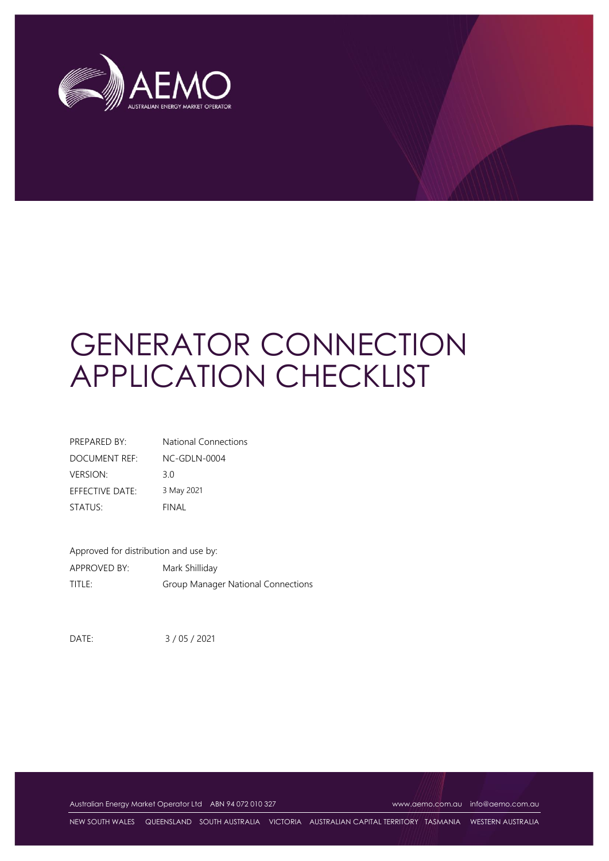

# GENERATOR CONNECTION APPLICATION CHECKLIST

| PREPARED BY:         | <b>National Connections</b> |
|----------------------|-----------------------------|
| <b>DOCUMENT REF:</b> | NC-GDLN-0004                |
| <b>VERSION:</b>      | 30                          |
| EFFECTIVE DATE:      | 3 May 2021                  |
| STATUS:              | FINAL                       |

Approved for distribution and use by: APPROVED BY: Mark Shilliday TITLE: Group Manager National Connections

DATE: 3 / 05 / 2021

Australian Energy Market Operator Ltd ABN 94 072 010 327 [www.aemo.com.au](http://www.aemo.com.au/) [info@aemo.com.au](mailto:info@aemo.com.au)

NEW SOUTH WALES QUEENSLAND SOUTH AUSTRALIA VICTORIA AUSTRALIAN CAPITAL TERRITORY TASMANIA WESTERN AUSTRALIA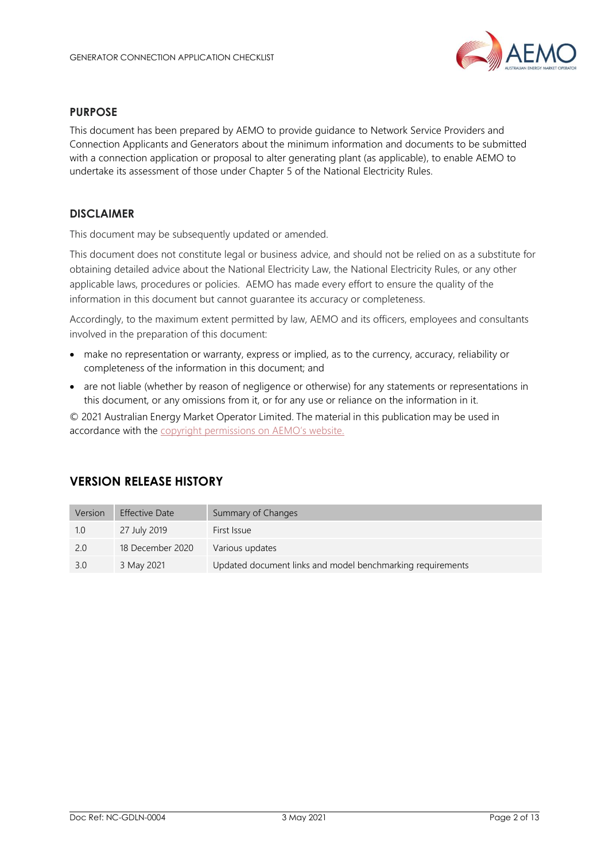

#### **PURPOSE**

This document has been prepared by AEMO to provide guidance to Network Service Providers and Connection Applicants and Generators about the minimum information and documents to be submitted with a connection application or proposal to alter generating plant (as applicable), to enable AEMO to undertake its assessment of those under Chapter 5 of the National Electricity Rules.

#### **DISCLAIMER**

This document may be subsequently updated or amended.

This document does not constitute legal or business advice, and should not be relied on as a substitute for obtaining detailed advice about the National Electricity Law, the National Electricity Rules, or any other applicable laws, procedures or policies. AEMO has made every effort to ensure the quality of the information in this document but cannot guarantee its accuracy or completeness.

Accordingly, to the maximum extent permitted by law, AEMO and its officers, employees and consultants involved in the preparation of this document:

- make no representation or warranty, express or implied, as to the currency, accuracy, reliability or completeness of the information in this document; and
- are not liable (whether by reason of negligence or otherwise) for any statements or representations in this document, or any omissions from it, or for any use or reliance on the information in it.

© 2021 Australian Energy Market Operator Limited. The material in this publication may be used in accordance with the [copyright permissions on AEMO](http://aemo.com.au/Privacy_and_Legal_Notices/Copyright_Permissions_Notice)'s website.

#### **VERSION RELEASE HISTORY**

| Version | <b>Effective Date</b> | Summary of Changes                                         |
|---------|-----------------------|------------------------------------------------------------|
| 1.0     | 27 July 2019          | First Issue                                                |
| 2.0     | 18 December 2020      | Various updates                                            |
| 3.0     | 3 May 2021            | Updated document links and model benchmarking requirements |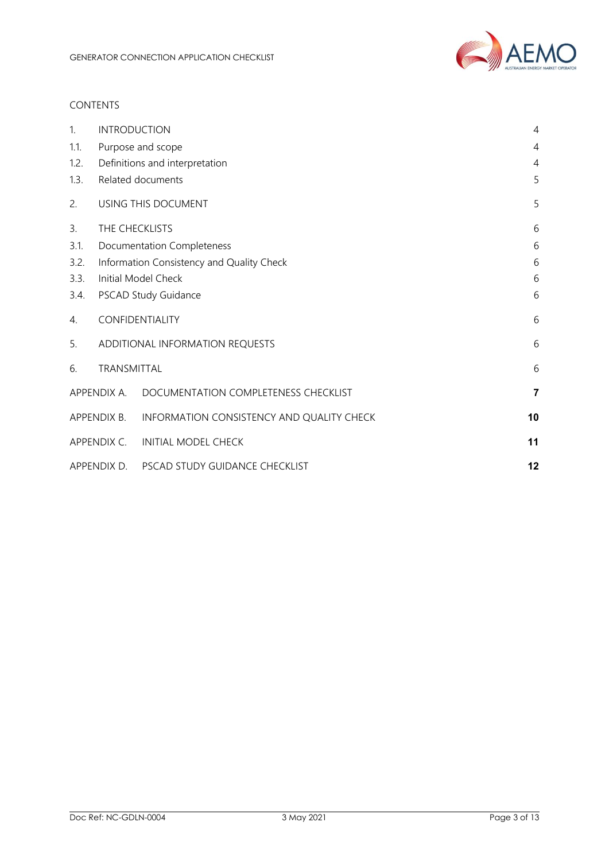

#### CONTENTS

| 1.   | <b>INTRODUCTION</b> |                                           | 4              |
|------|---------------------|-------------------------------------------|----------------|
| 1.1. |                     | Purpose and scope                         | 4              |
| 1.2. |                     | Definitions and interpretation            | 4              |
| 1.3. |                     | Related documents                         | 5              |
| 2.   |                     | USING THIS DOCUMENT                       | 5              |
| 3.   |                     | THE CHECKLISTS                            | 6              |
| 3.1. |                     | <b>Documentation Completeness</b>         | 6              |
| 3.2. |                     | Information Consistency and Quality Check | 6              |
| 3.3. |                     | Initial Model Check                       | 6              |
| 3.4. |                     | PSCAD Study Guidance                      | 6              |
| 4.   |                     | CONFIDENTIALITY                           | 6              |
| 5.   |                     | ADDITIONAL INFORMATION REQUESTS           | 6              |
| 6.   | TRANSMITTAL         |                                           | 6              |
|      | APPENDIX A.         | DOCUMENTATION COMPLETENESS CHECKLIST      | $\overline{7}$ |
|      | APPENDIX B.         | INFORMATION CONSISTENCY AND QUALITY CHECK | 10             |
|      | APPENDIX C.         | <b>INITIAL MODEL CHECK</b>                | 11             |
|      | APPENDIX D.         | PSCAD STUDY GUIDANCE CHECKLIST            | 12             |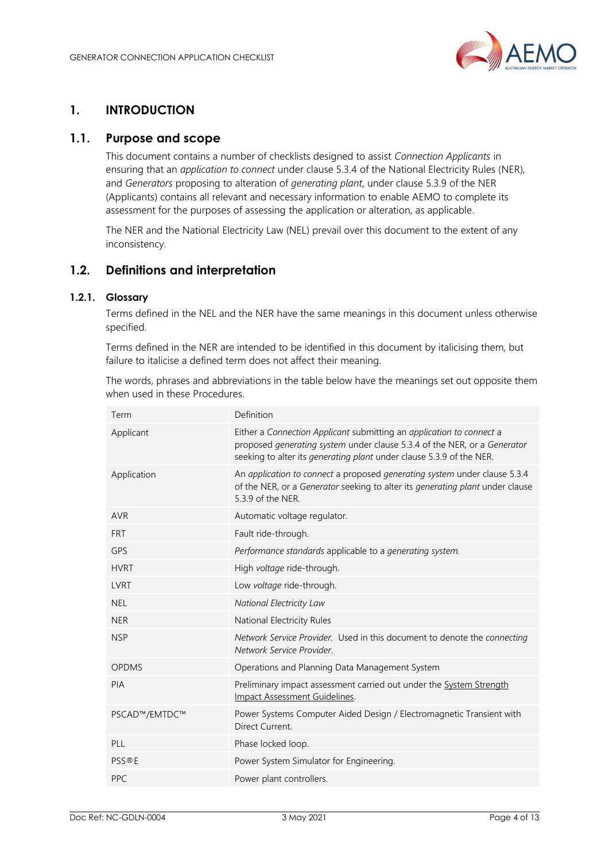

## <span id="page-3-0"></span>**1. INTRODUCTION**

#### <span id="page-3-1"></span>**1.1. Purpose and scope**

This document contains a number of checklists designed to assist *Connection Applicants* in ensuring that an *application to connect* under clause 5.3.4 of the National Electricity Rules (NER), and *Generators* proposing to alteration of *generating plant*, under clause 5.3.9 of the NER (Applicants) contains all relevant and necessary information to enable AEMO to complete its assessment for the purposes of assessing the application or alteration, as applicable.

The NER and the National Electricity Law (NEL) prevail over this document to the extent of any inconsistency.

#### <span id="page-3-2"></span>**1.2. Definitions and interpretation**

#### **1.2.1. Glossary**

Terms defined in the NEL and the NER have the same meanings in this document unless otherwise specified.

Terms defined in the NER are intended to be identified in this document by italicising them, but failure to italicise a defined term does not affect their meaning.

The words, phrases and abbreviations in the table below have the meanings set out opposite them when used in these Procedures.

| Term          | Definition                                                                                                                                                                                                                      |
|---------------|---------------------------------------------------------------------------------------------------------------------------------------------------------------------------------------------------------------------------------|
| Applicant     | Either a Connection Applicant submitting an application to connect a<br>proposed generating system under clause 5.3.4 of the NER, or a Generator<br>seeking to alter its <i>generating plant</i> under clause 5.3.9 of the NER. |
| Application   | An application to connect a proposed generating system under clause 5.3.4<br>of the NER, or a Generator seeking to alter its generating plant under clause<br>5.3.9 of the NER.                                                 |
| <b>AVR</b>    | Automatic voltage regulator.                                                                                                                                                                                                    |
| <b>FRT</b>    | Fault ride-through.                                                                                                                                                                                                             |
| <b>GPS</b>    | Performance standards applicable to a generating system.                                                                                                                                                                        |
| <b>HVRT</b>   | High voltage ride-through.                                                                                                                                                                                                      |
| <b>LVRT</b>   | Low voltage ride-through.                                                                                                                                                                                                       |
| <b>NEL</b>    | National Electricity Law                                                                                                                                                                                                        |
| <b>NER</b>    | National Electricity Rules                                                                                                                                                                                                      |
| <b>NSP</b>    | Network Service Provider. Used in this document to denote the connecting<br>Network Service Provider.                                                                                                                           |
| <b>OPDMS</b>  | Operations and Planning Data Management System                                                                                                                                                                                  |
| PIA           | Preliminary impact assessment carried out under the System Strength<br>Impact Assessment Guidelines.                                                                                                                            |
| PSCAD™/EMTDC™ | Power Systems Computer Aided Design / Electromagnetic Transient with<br>Direct Current.                                                                                                                                         |
| PLL           | Phase locked loop.                                                                                                                                                                                                              |
| <b>PSS®E</b>  | Power System Simulator for Engineering.                                                                                                                                                                                         |
| <b>PPC</b>    | Power plant controllers.                                                                                                                                                                                                        |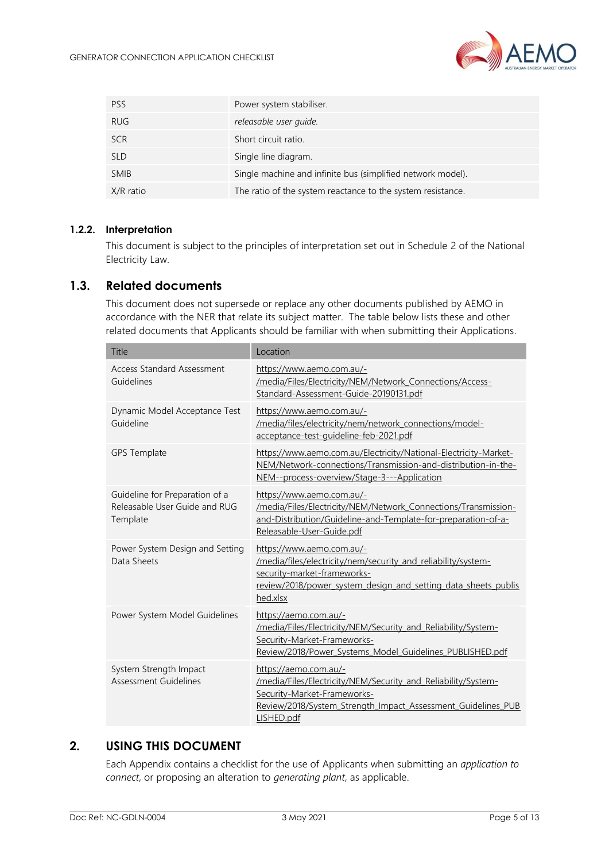

| <b>PSS</b>  | Power system stabiliser.                                    |
|-------------|-------------------------------------------------------------|
| <b>RUG</b>  | releasable user quide.                                      |
| <b>SCR</b>  | Short circuit ratio.                                        |
| <b>SLD</b>  | Single line diagram.                                        |
| <b>SMIB</b> | Single machine and infinite bus (simplified network model). |
| X/R ratio   | The ratio of the system reactance to the system resistance. |

#### **1.2.2. Interpretation**

This document is subject to the principles of interpretation set out in Schedule 2 of the National Electricity Law.

#### <span id="page-4-0"></span>**1.3. Related documents**

This document does not supersede or replace any other documents published by AEMO in accordance with the NER that relate its subject matter. The table below lists these and other related documents that Applicants should be familiar with when submitting their Applications.

| <b>Title</b>                                                                | Location                                                                                                                                                                                                |
|-----------------------------------------------------------------------------|---------------------------------------------------------------------------------------------------------------------------------------------------------------------------------------------------------|
| <b>Access Standard Assessment</b><br>Guidelines                             | https://www.aemo.com.au/-<br>/media/Files/Electricity/NEM/Network Connections/Access-<br>Standard-Assessment-Guide-20190131.pdf                                                                         |
| Dynamic Model Acceptance Test<br>Guideline                                  | https://www.aemo.com.au/-<br>/media/files/electricity/nem/network_connections/model-<br>acceptance-test-guideline-feb-2021.pdf                                                                          |
| <b>GPS Template</b>                                                         | https://www.aemo.com.au/Electricity/National-Electricity-Market-<br>NEM/Network-connections/Transmission-and-distribution-in-the-<br>NEM--process-overview/Stage-3---Application                        |
| Guideline for Preparation of a<br>Releasable User Guide and RUG<br>Template | https://www.aemo.com.au/-<br>/media/Files/Electricity/NEM/Network Connections/Transmission-<br>and-Distribution/Guideline-and-Template-for-preparation-of-a-<br>Releasable-User-Guide.pdf               |
| Power System Design and Setting<br>Data Sheets                              | https://www.aemo.com.au/-<br>/media/files/electricity/nem/security and reliability/system-<br>security-market-frameworks-<br>review/2018/power system design and setting data sheets publis<br>hed.xlsx |
| Power System Model Guidelines                                               | https://aemo.com.au/-<br>/media/Files/Electricity/NEM/Security and Reliability/System-<br>Security-Market-Frameworks-<br>Review/2018/Power Systems Model Guidelines PUBLISHED.pdf                       |
| System Strength Impact<br><b>Assessment Guidelines</b>                      | https://aemo.com.au/-<br>/media/Files/Electricity/NEM/Security and Reliability/System-<br>Security-Market-Frameworks-<br>Review/2018/System Strength Impact Assessment Guidelines PUB<br>LISHED.pdf     |

### <span id="page-4-1"></span>**2. USING THIS DOCUMENT**

Each Appendix contains a checklist for the use of Applicants when submitting an *application to connect*, or proposing an alteration to *generating plant*, as applicable.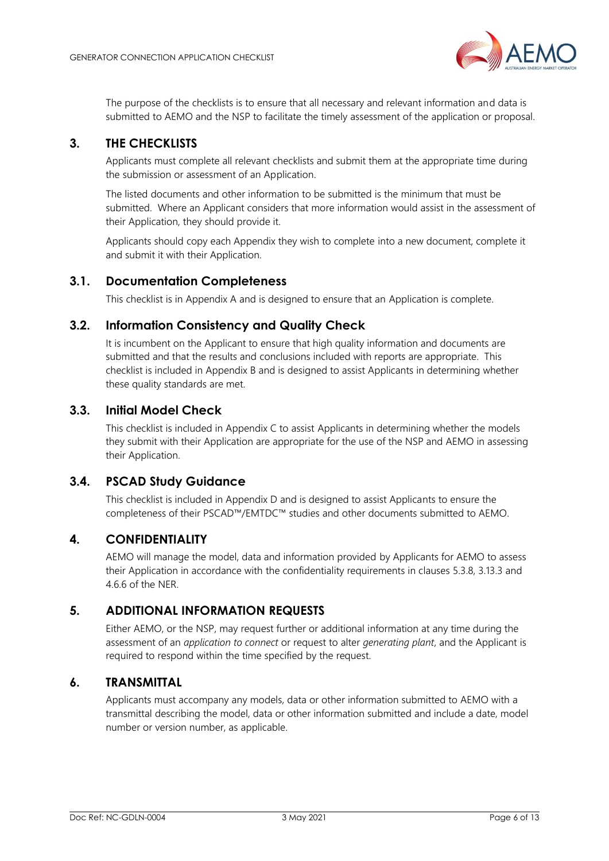

The purpose of the checklists is to ensure that all necessary and relevant information and data is submitted to AEMO and the NSP to facilitate the timely assessment of the application or proposal.

#### <span id="page-5-0"></span>**3. THE CHECKLISTS**

Applicants must complete all relevant checklists and submit them at the appropriate time during the submission or assessment of an Application.

The listed documents and other information to be submitted is the minimum that must be submitted. Where an Applicant considers that more information would assist in the assessment of their Application, they should provide it.

Applicants should copy each Appendix they wish to complete into a new document, complete it and submit it with their Application.

#### <span id="page-5-1"></span>**3.1. Documentation Completeness**

This checklist is in Appendix A and is designed to ensure that an Application is complete.

#### <span id="page-5-2"></span>**3.2. Information Consistency and Quality Check**

It is incumbent on the Applicant to ensure that high quality information and documents are submitted and that the results and conclusions included with reports are appropriate. This checklist is included in Appendix B and is designed to assist Applicants in determining whether these quality standards are met.

#### <span id="page-5-3"></span>**3.3. Initial Model Check**

This checklist is included in Appendix C to assist Applicants in determining whether the models they submit with their Application are appropriate for the use of the NSP and AEMO in assessing their Application.

#### <span id="page-5-4"></span>**3.4. PSCAD Study Guidance**

This checklist is included in Appendix D and is designed to assist Applicants to ensure the completeness of their PSCAD™/EMTDC™ studies and other documents submitted to AEMO.

#### <span id="page-5-5"></span>**4. CONFIDENTIALITY**

AEMO will manage the model, data and information provided by Applicants for AEMO to assess their Application in accordance with the confidentiality requirements in clauses 5.3.8, 3.13.3 and 4.6.6 of the NER.

#### <span id="page-5-6"></span>**5. ADDITIONAL INFORMATION REQUESTS**

Either AEMO, or the NSP, may request further or additional information at any time during the assessment of an *application to connect* or request to alter *generating plant*, and the Applicant is required to respond within the time specified by the request.

#### <span id="page-5-7"></span>**6. TRANSMITTAL**

Applicants must accompany any models, data or other information submitted to AEMO with a transmittal describing the model, data or other information submitted and include a date, model number or version number, as applicable.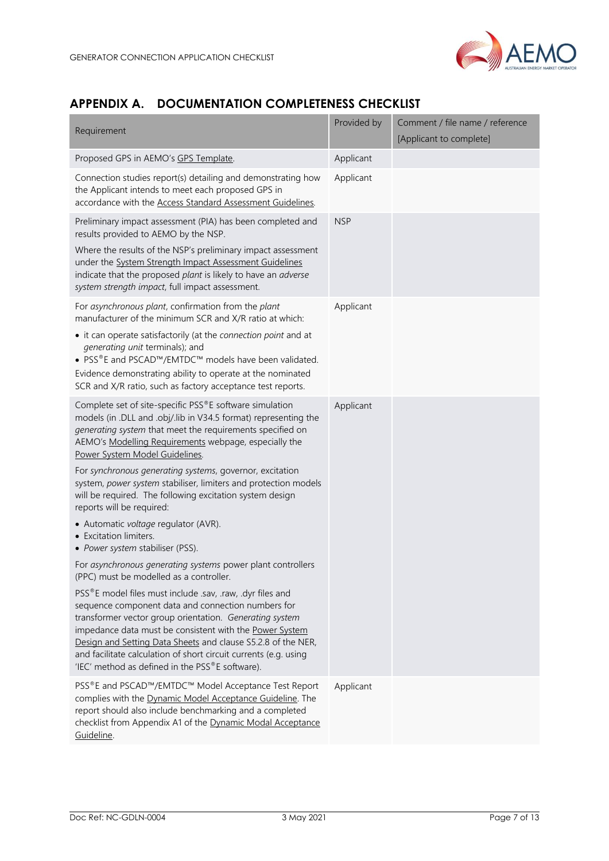

## <span id="page-6-0"></span>**APPENDIX A. DOCUMENTATION COMPLETENESS CHECKLIST**

| Requirement                                                                                                                                                                                                                                                                                                                                                                                                                  | Provided by | Comment / file name / reference<br>[Applicant to complete] |
|------------------------------------------------------------------------------------------------------------------------------------------------------------------------------------------------------------------------------------------------------------------------------------------------------------------------------------------------------------------------------------------------------------------------------|-------------|------------------------------------------------------------|
| Proposed GPS in AEMO's GPS Template.                                                                                                                                                                                                                                                                                                                                                                                         | Applicant   |                                                            |
| Connection studies report(s) detailing and demonstrating how<br>the Applicant intends to meet each proposed GPS in<br>accordance with the Access Standard Assessment Guidelines.                                                                                                                                                                                                                                             | Applicant   |                                                            |
| Preliminary impact assessment (PIA) has been completed and<br>results provided to AEMO by the NSP.                                                                                                                                                                                                                                                                                                                           | <b>NSP</b>  |                                                            |
| Where the results of the NSP's preliminary impact assessment<br>under the System Strength Impact Assessment Guidelines<br>indicate that the proposed plant is likely to have an adverse<br>system strength impact, full impact assessment.                                                                                                                                                                                   |             |                                                            |
| For asynchronous plant, confirmation from the plant<br>manufacturer of the minimum SCR and X/R ratio at which:                                                                                                                                                                                                                                                                                                               | Applicant   |                                                            |
| • it can operate satisfactorily (at the connection point and at<br>generating unit terminals); and<br>• PSS®E and PSCAD™/EMTDC™ models have been validated.                                                                                                                                                                                                                                                                  |             |                                                            |
| Evidence demonstrating ability to operate at the nominated<br>SCR and X/R ratio, such as factory acceptance test reports.                                                                                                                                                                                                                                                                                                    |             |                                                            |
| Complete set of site-specific PSS®E software simulation<br>models (in .DLL and .obj/.lib in V34.5 format) representing the<br>generating system that meet the requirements specified on<br>AEMO's Modelling Requirements webpage, especially the<br>Power System Model Guidelines.                                                                                                                                           | Applicant   |                                                            |
| For synchronous generating systems, governor, excitation<br>system, power system stabiliser, limiters and protection models<br>will be required. The following excitation system design<br>reports will be required:                                                                                                                                                                                                         |             |                                                            |
| • Automatic voltage regulator (AVR).<br>• Excitation limiters.<br>• Power system stabiliser (PSS).                                                                                                                                                                                                                                                                                                                           |             |                                                            |
| For asynchronous generating systems power plant controllers<br>(PPC) must be modelled as a controller.                                                                                                                                                                                                                                                                                                                       |             |                                                            |
| PSS®E model files must include .sav, .raw, .dyr files and<br>sequence component data and connection numbers for<br>transformer vector group orientation. Generating system<br>impedance data must be consistent with the Power System<br>Design and Setting Data Sheets and clause S5.2.8 of the NER,<br>and facilitate calculation of short circuit currents (e.g. using<br>'IEC' method as defined in the PSS®E software). |             |                                                            |
| PSS®E and PSCAD™/EMTDC™ Model Acceptance Test Report<br>complies with the Dynamic Model Acceptance Guideline. The<br>report should also include benchmarking and a completed<br>checklist from Appendix A1 of the Dynamic Modal Acceptance<br>Guideline.                                                                                                                                                                     | Applicant   |                                                            |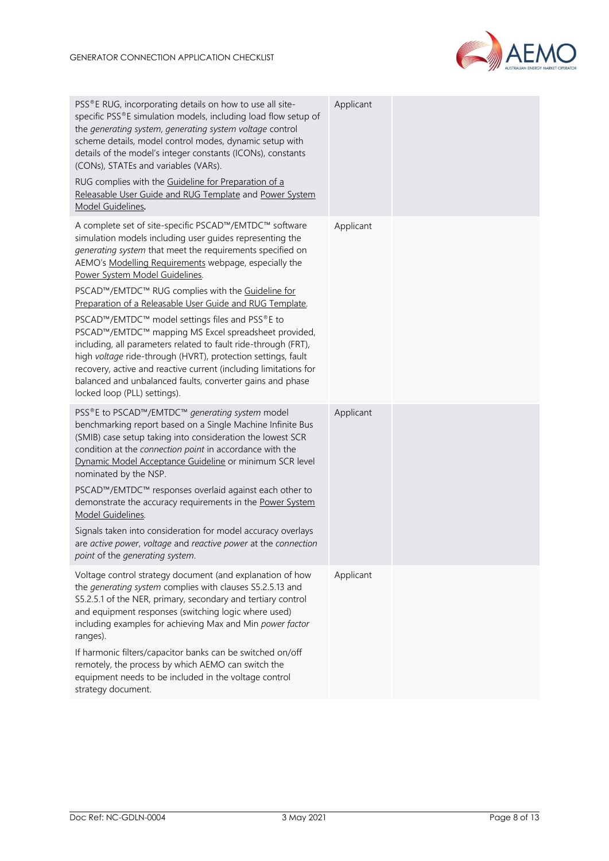

| PSS®E RUG, incorporating details on how to use all site-<br>specific PSS®E simulation models, including load flow setup of<br>the generating system, generating system voltage control<br>scheme details, model control modes, dynamic setup with<br>details of the model's integer constants (ICONs), constants<br>(CONs), STATEs and variables (VARs).                                                                                                                                                                                                                                                 | Applicant |  |
|----------------------------------------------------------------------------------------------------------------------------------------------------------------------------------------------------------------------------------------------------------------------------------------------------------------------------------------------------------------------------------------------------------------------------------------------------------------------------------------------------------------------------------------------------------------------------------------------------------|-----------|--|
| RUG complies with the Guideline for Preparation of a<br>Releasable User Guide and RUG Template and Power System<br>Model Guidelines.                                                                                                                                                                                                                                                                                                                                                                                                                                                                     |           |  |
| A complete set of site-specific PSCAD™/EMTDC™ software<br>simulation models including user guides representing the<br>generating system that meet the requirements specified on<br>AEMO's Modelling Requirements webpage, especially the<br>Power System Model Guidelines.<br>PSCAD™/EMTDC™ RUG complies with the Guideline for                                                                                                                                                                                                                                                                          | Applicant |  |
| Preparation of a Releasable User Guide and RUG Template.<br>PSCAD™/EMTDC™ model settings files and PSS®E to<br>PSCAD™/EMTDC™ mapping MS Excel spreadsheet provided,<br>including, all parameters related to fault ride-through (FRT),<br>high voltage ride-through (HVRT), protection settings, fault<br>recovery, active and reactive current (including limitations for<br>balanced and unbalanced faults, converter gains and phase<br>locked loop (PLL) settings).                                                                                                                                   |           |  |
| PSS®E to PSCAD™/EMTDC™ generating system model<br>benchmarking report based on a Single Machine Infinite Bus<br>(SMIB) case setup taking into consideration the lowest SCR<br>condition at the connection point in accordance with the<br>Dynamic Model Acceptance Guideline or minimum SCR level<br>nominated by the NSP.<br>PSCAD™/EMTDC™ responses overlaid against each other to<br>demonstrate the accuracy requirements in the Power System<br>Model Guidelines.<br>Signals taken into consideration for model accuracy overlays<br>are active power, voltage and reactive power at the connection | Applicant |  |
| point of the generating system.                                                                                                                                                                                                                                                                                                                                                                                                                                                                                                                                                                          |           |  |
| Voltage control strategy document (and explanation of how<br>the generating system complies with clauses S5.2.5.13 and<br>S5.2.5.1 of the NER, primary, secondary and tertiary control<br>and equipment responses (switching logic where used)<br>including examples for achieving Max and Min power factor<br>ranges).                                                                                                                                                                                                                                                                                  | Applicant |  |
| If harmonic filters/capacitor banks can be switched on/off<br>remotely, the process by which AEMO can switch the<br>equipment needs to be included in the voltage control<br>strategy document.                                                                                                                                                                                                                                                                                                                                                                                                          |           |  |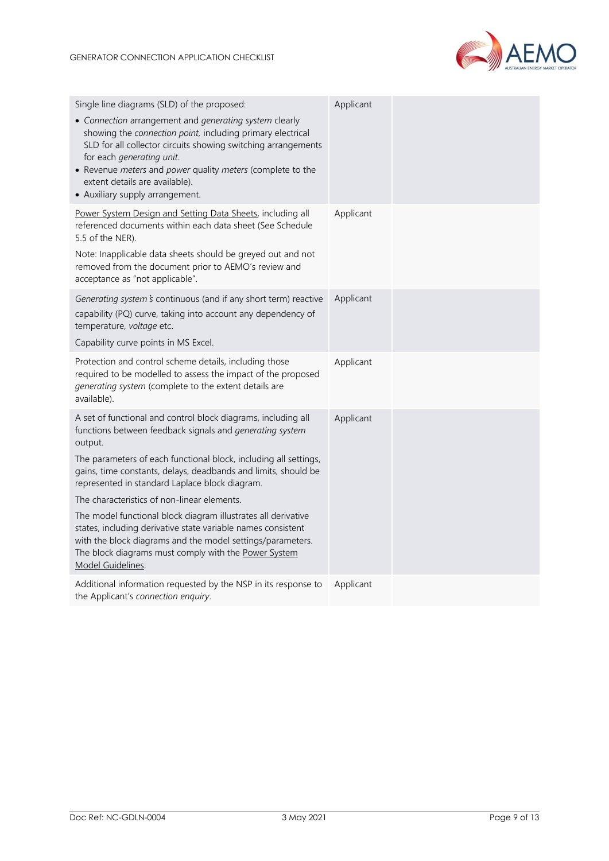

| Single line diagrams (SLD) of the proposed:<br>• Connection arrangement and generating system clearly<br>showing the connection point, including primary electrical<br>SLD for all collector circuits showing switching arrangements<br>for each generating unit.<br>• Revenue meters and power quality meters (complete to the<br>extent details are available).<br>• Auxiliary supply arrangement.                                                                                                                                                                                                                                                    | Applicant |  |
|---------------------------------------------------------------------------------------------------------------------------------------------------------------------------------------------------------------------------------------------------------------------------------------------------------------------------------------------------------------------------------------------------------------------------------------------------------------------------------------------------------------------------------------------------------------------------------------------------------------------------------------------------------|-----------|--|
| Power System Design and Setting Data Sheets, including all<br>referenced documents within each data sheet (See Schedule<br>5.5 of the NER).<br>Note: Inapplicable data sheets should be greyed out and not<br>removed from the document prior to AEMO's review and<br>acceptance as "not applicable".                                                                                                                                                                                                                                                                                                                                                   | Applicant |  |
| Generating system's continuous (and if any short term) reactive<br>capability (PQ) curve, taking into account any dependency of<br>temperature, voltage etc.<br>Capability curve points in MS Excel.                                                                                                                                                                                                                                                                                                                                                                                                                                                    | Applicant |  |
| Protection and control scheme details, including those<br>required to be modelled to assess the impact of the proposed<br>generating system (complete to the extent details are<br>available).                                                                                                                                                                                                                                                                                                                                                                                                                                                          | Applicant |  |
| A set of functional and control block diagrams, including all<br>functions between feedback signals and generating system<br>output.<br>The parameters of each functional block, including all settings,<br>gains, time constants, delays, deadbands and limits, should be<br>represented in standard Laplace block diagram.<br>The characteristics of non-linear elements.<br>The model functional block diagram illustrates all derivative<br>states, including derivative state variable names consistent<br>with the block diagrams and the model settings/parameters.<br>The block diagrams must comply with the Power System<br>Model Guidelines. | Applicant |  |
| Additional information requested by the NSP in its response to<br>the Applicant's connection enquiry.                                                                                                                                                                                                                                                                                                                                                                                                                                                                                                                                                   | Applicant |  |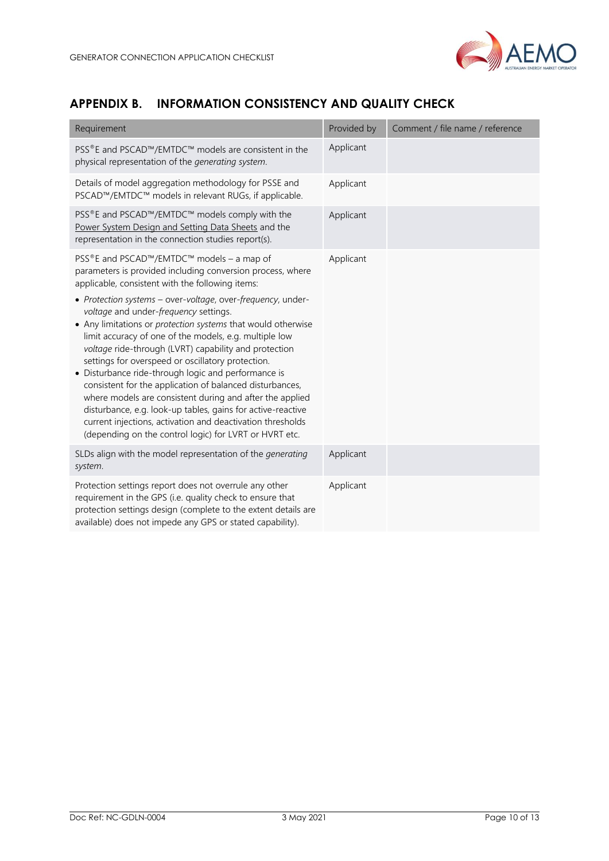

## <span id="page-9-0"></span>**APPENDIX B. INFORMATION CONSISTENCY AND QUALITY CHECK**

| Requirement                                                                                                                                                                                                                                                                                                                                                                                                                                                                                                                                                                                                                                                                                                        | Provided by | Comment / file name / reference |
|--------------------------------------------------------------------------------------------------------------------------------------------------------------------------------------------------------------------------------------------------------------------------------------------------------------------------------------------------------------------------------------------------------------------------------------------------------------------------------------------------------------------------------------------------------------------------------------------------------------------------------------------------------------------------------------------------------------------|-------------|---------------------------------|
| PSS®E and PSCAD™/EMTDC™ models are consistent in the<br>physical representation of the generating system.                                                                                                                                                                                                                                                                                                                                                                                                                                                                                                                                                                                                          | Applicant   |                                 |
| Details of model aggregation methodology for PSSE and<br>PSCAD™/EMTDC™ models in relevant RUGs, if applicable.                                                                                                                                                                                                                                                                                                                                                                                                                                                                                                                                                                                                     | Applicant   |                                 |
| PSS®E and PSCAD™/EMTDC™ models comply with the<br>Power System Design and Setting Data Sheets and the<br>representation in the connection studies report(s).                                                                                                                                                                                                                                                                                                                                                                                                                                                                                                                                                       | Applicant   |                                 |
| PSS®E and PSCAD™/EMTDC™ models - a map of<br>parameters is provided including conversion process, where<br>applicable, consistent with the following items:                                                                                                                                                                                                                                                                                                                                                                                                                                                                                                                                                        | Applicant   |                                 |
| • Protection systems - over-voltage, over-frequency, under-<br>voltage and under-frequency settings.<br>• Any limitations or protection systems that would otherwise<br>limit accuracy of one of the models, e.g. multiple low<br>voltage ride-through (LVRT) capability and protection<br>settings for overspeed or oscillatory protection.<br>• Disturbance ride-through logic and performance is<br>consistent for the application of balanced disturbances,<br>where models are consistent during and after the applied<br>disturbance, e.g. look-up tables, gains for active-reactive<br>current injections, activation and deactivation thresholds<br>(depending on the control logic) for LVRT or HVRT etc. |             |                                 |
| SLDs align with the model representation of the generating<br>system.                                                                                                                                                                                                                                                                                                                                                                                                                                                                                                                                                                                                                                              | Applicant   |                                 |
| Protection settings report does not overrule any other<br>requirement in the GPS (i.e. quality check to ensure that<br>protection settings design (complete to the extent details are<br>available) does not impede any GPS or stated capability).                                                                                                                                                                                                                                                                                                                                                                                                                                                                 | Applicant   |                                 |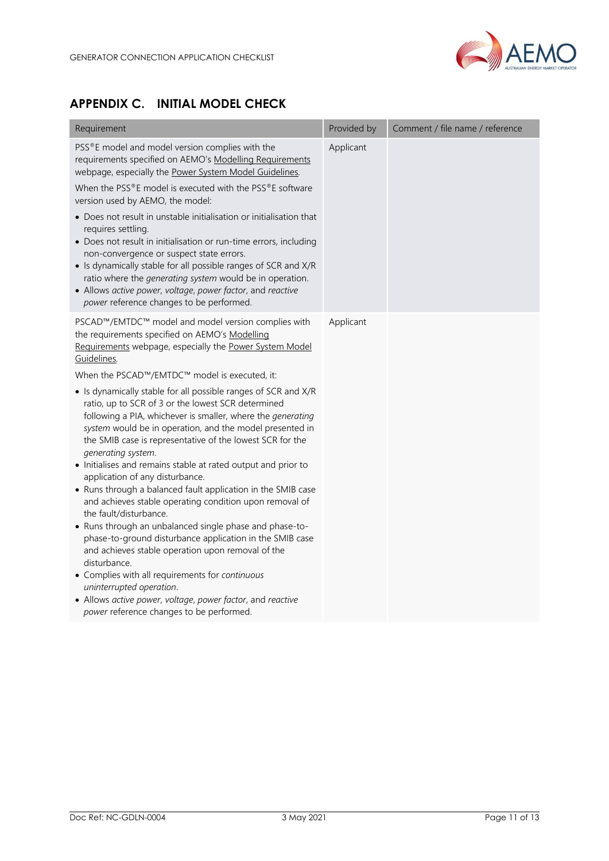

## <span id="page-10-0"></span>**APPENDIX C. INITIAL MODEL CHECK**

| Requirement                                                                                                                                                                                                                                                                                                                                                                                                                                                                                                                                                                                                                                                                                                                                                                                                                                                                                                                                                                                                                                                                                                                                                                                                          | Provided by | Comment / file name / reference |
|----------------------------------------------------------------------------------------------------------------------------------------------------------------------------------------------------------------------------------------------------------------------------------------------------------------------------------------------------------------------------------------------------------------------------------------------------------------------------------------------------------------------------------------------------------------------------------------------------------------------------------------------------------------------------------------------------------------------------------------------------------------------------------------------------------------------------------------------------------------------------------------------------------------------------------------------------------------------------------------------------------------------------------------------------------------------------------------------------------------------------------------------------------------------------------------------------------------------|-------------|---------------------------------|
| PSS®E model and model version complies with the<br>requirements specified on AEMO's Modelling Requirements<br>webpage, especially the Power System Model Guidelines.<br>When the PSS®E model is executed with the PSS®E software<br>version used by AEMO, the model:<br>• Does not result in unstable initialisation or initialisation that<br>requires settling.<br>• Does not result in initialisation or run-time errors, including<br>non-convergence or suspect state errors.<br>• Is dynamically stable for all possible ranges of SCR and X/R<br>ratio where the generating system would be in operation.<br>• Allows active power, voltage, power factor, and reactive<br>power reference changes to be performed.                                                                                                                                                                                                                                                                                                                                                                                                                                                                                           | Applicant   |                                 |
| PSCAD™/EMTDC™ model and model version complies with<br>the requirements specified on AEMO's Modelling<br>Requirements webpage, especially the Power System Model<br>Guidelines.<br>When the PSCAD™/EMTDC™ model is executed, it:<br>• Is dynamically stable for all possible ranges of SCR and X/R<br>ratio, up to SCR of 3 or the lowest SCR determined<br>following a PIA, whichever is smaller, where the generating<br>system would be in operation, and the model presented in<br>the SMIB case is representative of the lowest SCR for the<br>generating system.<br>• Initialises and remains stable at rated output and prior to<br>application of any disturbance.<br>• Runs through a balanced fault application in the SMIB case<br>and achieves stable operating condition upon removal of<br>the fault/disturbance.<br>• Runs through an unbalanced single phase and phase-to-<br>phase-to-ground disturbance application in the SMIB case<br>and achieves stable operation upon removal of the<br>disturbance.<br>• Complies with all requirements for continuous<br>uninterrupted operation.<br>• Allows active power, voltage, power factor, and reactive<br>power reference changes to be performed. | Applicant   |                                 |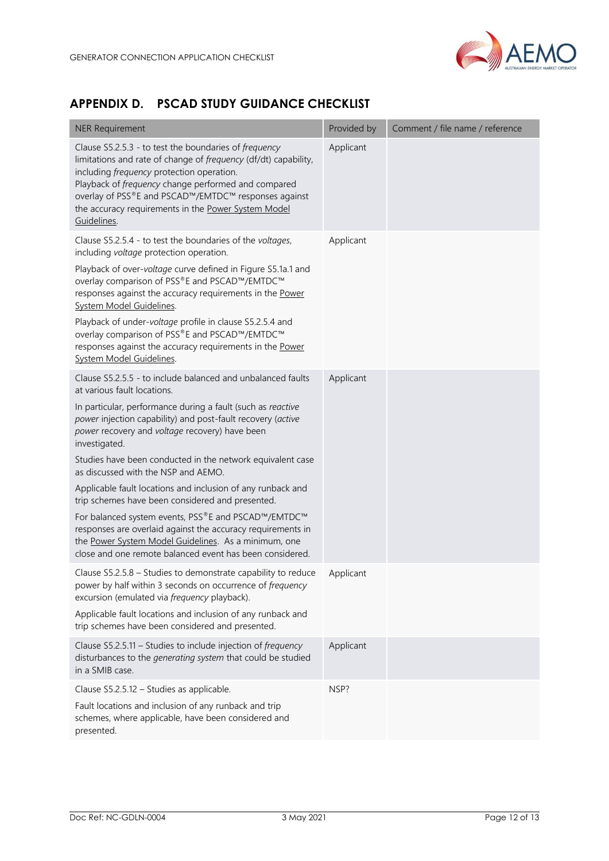

## <span id="page-11-0"></span>**APPENDIX D. PSCAD STUDY GUIDANCE CHECKLIST**

| <b>NER Requirement</b>                                                                                                                                                                                                                                                                                                                                            | Provided by | Comment / file name / reference |
|-------------------------------------------------------------------------------------------------------------------------------------------------------------------------------------------------------------------------------------------------------------------------------------------------------------------------------------------------------------------|-------------|---------------------------------|
| Clause S5.2.5.3 - to test the boundaries of frequency<br>limitations and rate of change of frequency (df/dt) capability,<br>including <i>frequency</i> protection operation.<br>Playback of frequency change performed and compared<br>overlay of PSS®E and PSCAD™/EMTDC™ responses against<br>the accuracy requirements in the Power System Model<br>Guidelines. | Applicant   |                                 |
| Clause S5.2.5.4 - to test the boundaries of the voltages,<br>including voltage protection operation.                                                                                                                                                                                                                                                              | Applicant   |                                 |
| Playback of over-voltage curve defined in Figure S5.1a.1 and<br>overlay comparison of PSS®E and PSCAD™/EMTDC™<br>responses against the accuracy requirements in the Power<br>System Model Guidelines.                                                                                                                                                             |             |                                 |
| Playback of under-voltage profile in clause S5.2.5.4 and<br>overlay comparison of PSS®E and PSCAD™/EMTDC™<br>responses against the accuracy requirements in the Power<br>System Model Guidelines.                                                                                                                                                                 |             |                                 |
| Clause S5.2.5.5 - to include balanced and unbalanced faults<br>at various fault locations.                                                                                                                                                                                                                                                                        | Applicant   |                                 |
| In particular, performance during a fault (such as reactive<br>power injection capability) and post-fault recovery (active<br>power recovery and voltage recovery) have been<br>investigated.                                                                                                                                                                     |             |                                 |
| Studies have been conducted in the network equivalent case<br>as discussed with the NSP and AEMO.                                                                                                                                                                                                                                                                 |             |                                 |
| Applicable fault locations and inclusion of any runback and<br>trip schemes have been considered and presented.                                                                                                                                                                                                                                                   |             |                                 |
| For balanced system events, PSS®E and PSCAD™/EMTDC™<br>responses are overlaid against the accuracy requirements in<br>the Power System Model Guidelines. As a minimum, one<br>close and one remote balanced event has been considered.                                                                                                                            |             |                                 |
| Clause S5.2.5.8 - Studies to demonstrate capability to reduce<br>power by half within 3 seconds on occurrence of frequency<br>excursion (emulated via <i>frequency</i> playback).                                                                                                                                                                                 | Applicant   |                                 |
| Applicable fault locations and inclusion of any runback and<br>trip schemes have been considered and presented.                                                                                                                                                                                                                                                   |             |                                 |
| Clause S5.2.5.11 - Studies to include injection of frequency<br>disturbances to the generating system that could be studied<br>in a SMIB case.                                                                                                                                                                                                                    | Applicant   |                                 |
| Clause S5.2.5.12 - Studies as applicable.                                                                                                                                                                                                                                                                                                                         | NSP?        |                                 |
| Fault locations and inclusion of any runback and trip<br>schemes, where applicable, have been considered and<br>presented.                                                                                                                                                                                                                                        |             |                                 |